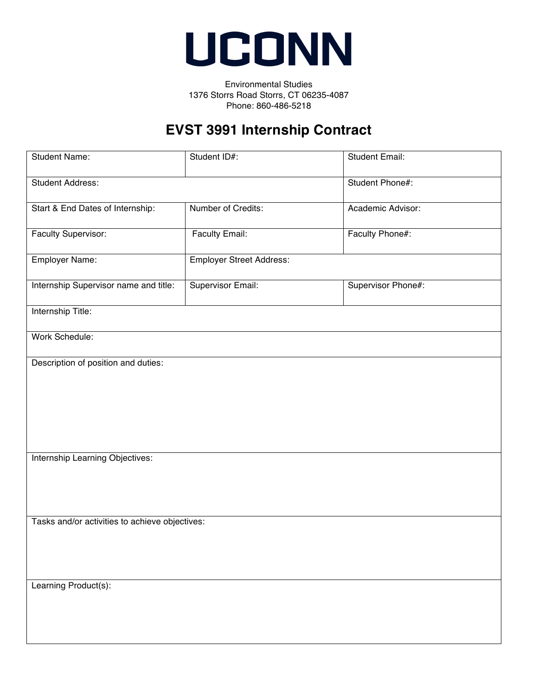

Environmental Studies 1376 Storrs Road Storrs, CT 06235-4087 Phone: 860-486-5218

## **EVST 3991 Internship Contract**

| <b>Student Name:</b>                           | Student ID#:                    | <b>Student Email:</b> |  |
|------------------------------------------------|---------------------------------|-----------------------|--|
| <b>Student Address:</b>                        |                                 | Student Phone#:       |  |
| Start & End Dates of Internship:               | Number of Credits:              | Academic Advisor:     |  |
| Faculty Supervisor:                            | Faculty Email:                  | Faculty Phone#:       |  |
| Employer Name:                                 | <b>Employer Street Address:</b> |                       |  |
| Internship Supervisor name and title:          | Supervisor Email:               | Supervisor Phone#:    |  |
| Internship Title:                              |                                 |                       |  |
| Work Schedule:                                 |                                 |                       |  |
| Description of position and duties:            |                                 |                       |  |
| Internship Learning Objectives:                |                                 |                       |  |
| Tasks and/or activities to achieve objectives: |                                 |                       |  |
| Learning Product(s):                           |                                 |                       |  |